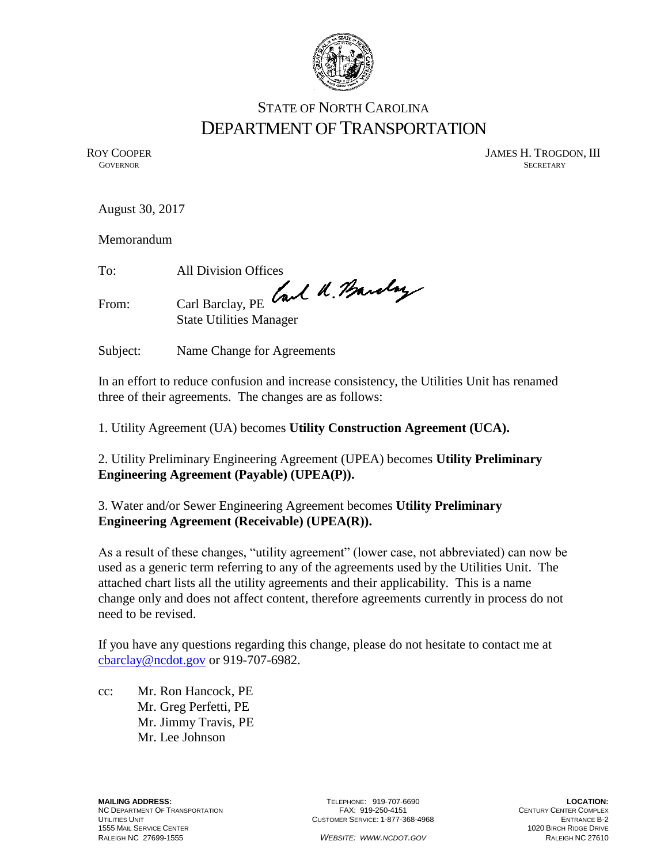

## STATE OF NORTH CAROLINA DEPARTMENT OF TRANSPORTATION

ROY COOPER JAMES H. TROGDON, III<br>GOVERNOR SECRETARY **GOVERNOR** SECRETARY

August 30, 2017

Memorandum

To: All Division Offices

From: Carl Barclay, PE Carl U. Bandary

State Utilities Manager

Subject: Name Change for Agreements

In an effort to reduce confusion and increase consistency, the Utilities Unit has renamed three of their agreements. The changes are as follows:

1. Utility Agreement (UA) becomes **Utility Construction Agreement (UCA).**

2. Utility Preliminary Engineering Agreement (UPEA) becomes **Utility Preliminary Engineering Agreement (Payable) (UPEA(P)).**

3. Water and/or Sewer Engineering Agreement becomes **Utility Preliminary Engineering Agreement (Receivable) (UPEA(R)).**

As a result of these changes, "utility agreement" (lower case, not abbreviated) can now be used as a generic term referring to any of the agreements used by the Utilities Unit. The attached chart lists all the utility agreements and their applicability. This is a name change only and does not affect content, therefore agreements currently in process do not need to be revised.

If you have any questions regarding this change, please do not hesitate to contact me at [cbarclay@ncdot.gov](mailto:cbarclay@ncdot.gov) or 919-707-6982.

cc: Mr. Ron Hancock, PE Mr. Greg Perfetti, PE Mr. Jimmy Travis, PE Mr. Lee Johnson